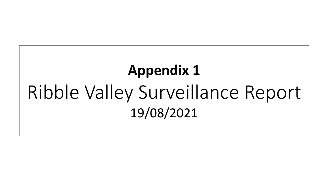# **Appendix 1** Ribble Valley Surveillance Report 19/08/2021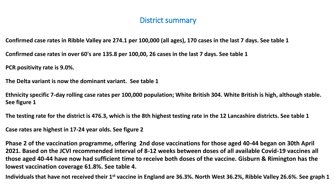### District summary

**Confirmed case rates in Ribble Valley are 274.1 per 100,000 (all ages), 170 cases in the last 7 days. See table 1**

**Confirmed case rates in over 60's are 135.8 per 100,00, 26 cases in the last 7 days. See table 1**

**PCR positivity rate is 9.0%.** 

**The Delta variant is now the dominant variant. See table 1**

**Ethnicity specific 7-day rolling case rates per 100,000 population; White British 304. White British is high, although stable. See figure 1**

**The testing rate for the district is 476.3, which is the 8th highest testing rate in the 12 Lancashire districts. See table 1**

**Case rates are highest in 17-24 year olds. See figure 2**

**Phase 2 of the vaccination programme, offering 2nd dose vaccinations for those aged 40-44 began on 30th April 2021. Based on the JCVI recommended interval of 8-12 weeks between doses of all available Covid-19 vaccines all those aged 40-44 have now had sufficient time to receive both doses of the vaccine. Gisburn & Rimington has the lowest vaccination coverage 61.8%. See table 4.**

**Individuals that have not received their 1st vaccine in England are 36.3%. North West 36.2%, Ribble Valley 26.6%. See graph 1**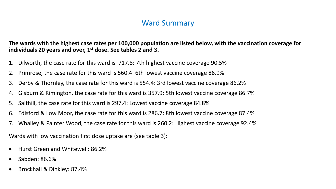### Ward Summary

**The wards with the highest case rates per 100,000 population are listed below, with the vaccination coverage for individuals 20 years and over, 1st dose. See tables 2 and 3.** 

- 1. Dilworth, the case rate for this ward is 717.8: 7th highest vaccine coverage 90.5%
- 2. Primrose, the case rate for this ward is 560.4: 6th lowest vaccine coverage 86.9%
- 3. Derby & Thornley, the case rate for this ward is 554.4: 3rd lowest vaccine coverage 86.2%
- 4. Gisburn & Rimington, the case rate for this ward is 357.9: 5th lowest vaccine coverage 86.7%
- 5. Salthill, the case rate for this ward is 297.4: Lowest vaccine coverage 84.8%
- 6. Edisford & Low Moor, the case rate for this ward is 286.7: 8th lowest vaccine coverage 87.4%
- 7. Whalley & Painter Wood, the case rate for this ward is 260.2: Highest vaccine coverage 92.4%

Wards with low vaccination first dose uptake are (see table 3):

- Hurst Green and Whitewell: 86.2%
- Sabden: 86.6%
- Brockhall & Dinkley: 87.4%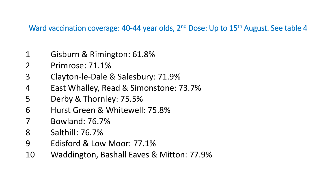Ward vaccination coverage: 40-44 year olds, 2<sup>nd</sup> Dose: Up to 15<sup>th</sup> August. See table 4

- Gisburn & Rimington: 61.8%
- Primrose: 71.1%
- Clayton-le-Dale & Salesbury: 71.9%
- East Whalley, Read & Simonstone: 73.7%
- Derby & Thornley: 75.5%
- Hurst Green & Whitewell: 75.8%
- Bowland: 76.7%
- Salthill: 76.7%
- Edisford & Low Moor: 77.1%
- Waddington, Bashall Eaves & Mitton: 77.9%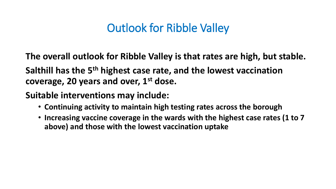# Outlook for Ribble Valley

**The overall outlook for Ribble Valley is that rates are high, but stable.** 

**Salthill has the 5th highest case rate, and the lowest vaccination coverage, 20 years and over, 1st dose.**

**Suitable interventions may include:**

- **Continuing activity to maintain high testing rates across the borough**
- **Increasing vaccine coverage in the wards with the highest case rates (1 to 7 above) and those with the lowest vaccination uptake**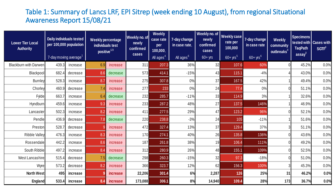#### Table 1: Summary of Lancs LRF, EPI Sitrep (week ending 10 August), from regional Situational Awareness Report 15/08/21

| <b>Lower Tier Local</b><br><b>Authority</b> | Daily individuals tested<br><b>Weekly percentage</b><br>per 100,000 population<br>individuals test<br>positive <sup>123</sup><br>7-day moving average <sup>1</sup> |          |         | Weekly no. of<br>newly<br>confirmed<br>cases | <b>Weekly</b><br>case rate<br>per<br>100,000,<br>All ages <sup>4</sup> | 7-day change<br>in case rate,<br>All ages <sup>6</sup> | Weekly no. of<br>newly<br>confirmed<br>cases<br>$60 + yrs$ | <b>Weekly case</b><br>rate per<br>100,000<br>$60 + yrs^5$ | 7-day change<br>in case rate<br>$60+$ yrs <sup>6</sup> | Weekly<br>community<br>outbreaks <sup>81</sup> | <b>Specimens</b><br><b>TaqPath</b><br>$\text{assay}^9$ | tested with <b>Cases with</b><br>$SGTF^{\theta}$ |      |
|---------------------------------------------|--------------------------------------------------------------------------------------------------------------------------------------------------------------------|----------|---------|----------------------------------------------|------------------------------------------------------------------------|--------------------------------------------------------|------------------------------------------------------------|-----------------------------------------------------------|--------------------------------------------------------|------------------------------------------------|--------------------------------------------------------|--------------------------------------------------|------|
| <b>Blackburn with Darwen</b>                | 439.3                                                                                                                                                              | increase | 6.9     | increase                                     | 311                                                                    | 207.3                                                  | 36%                                                        | 32                                                        | 107.6                                                  | 60%                                            |                                                        | 45.2%                                            | 0.0% |
| Blackpool                                   | 682.4                                                                                                                                                              | decrease | 8.6     | decrease                                     | 573                                                                    | 414.1                                                  | $-15%$                                                     | 43                                                        | 115.1                                                  | $-4%$                                          |                                                        | 43.0%                                            | 0.0% |
| <b>Burnley</b>                              | 528.3                                                                                                                                                              | increase | 8.7     | increase                                     | 275                                                                    | 307.8                                                  | 0%                                                         | 37                                                        | 167.5                                                  | 42%                                            |                                                        | 49.4%                                            | 0.0% |
| Chorley                                     | 460.9                                                                                                                                                              | decrease | 7.4     | increase                                     | 277                                                                    | 233                                                    | 0%                                                         | 24                                                        | 77.4                                                   | 0%                                             |                                                        | 51.1%                                            | 0.0% |
| Fylde                                       | 663.7                                                                                                                                                              | increase | 6.4     | decrease                                     | 232                                                                    | 285.7                                                  | $-11%$                                                     | 33                                                        | 114.9                                                  | 3%                                             |                                                        | 32.6%                                            | 0.0% |
| Hyndburn                                    | 459.6                                                                                                                                                              | increase | 9.3     | increase                                     | 233                                                                    | 287.2                                                  | 48%                                                        | 27                                                        | 137.5                                                  | 146%                                           |                                                        | 46.9%                                            | 0.0% |
| Lancaster                                   | 502.3                                                                                                                                                              | increase | 8.2     | increase                                     | 411                                                                    | 277.5                                                  | 29%                                                        | 47                                                        | 123.2                                                  | 96%                                            |                                                        | 52.1%                                            | 0.0% |
| Pendle                                      | 436.9                                                                                                                                                              | decrease | 7.8     | decrease                                     | 220                                                                    | 238.8                                                  | $-3%$                                                      | 24                                                        | 105                                                    | $-11%$                                         |                                                        | 51.6%                                            | 0.0% |
| Preston                                     | 528.7                                                                                                                                                              | decrease | $\circ$ | increase                                     | 472                                                                    | 327.4                                                  | 13%                                                        | 37                                                        | 129.4                                                  | 37%                                            | 3                                                      | 51.1%                                            | 0.0% |
| <b>Ribble Valley</b>                        | 476.3                                                                                                                                                              | increase | 8.3     | increase                                     | 170                                                                    | 274.1                                                  | 40%                                                        | 26                                                        | 135.8                                                  | 136%                                           |                                                        | 43.6%                                            | 0.0% |
| Rossendale                                  | 442.2                                                                                                                                                              | increase | 8.6     | increase                                     | 187                                                                    | 261.8                                                  | 38%                                                        | 19                                                        | 106.4                                                  | 111%                                           |                                                        | 49.2%                                            | 0.0% |
| South Ribble                                | 497.2                                                                                                                                                              | increase | 8.4     | increase                                     | 312                                                                    | 280.9                                                  | 26%                                                        | 48                                                        | 155.1                                                  | 109%                                           |                                                        | 52.5%                                            | 0.0% |
| West Lancashire                             | 515.4                                                                                                                                                              | decrease | 7.5     | decrease                                     | 298                                                                    | 260.3                                                  | $-15%$                                                     | 32                                                        | 97.3                                                   | $-18%$                                         |                                                        | 51.0%                                            | 0.0% |
| Wyre                                        | 573.2                                                                                                                                                              | decrease | 8.2     | increase                                     | 366                                                                    | 323.7                                                  | 12%                                                        | 62                                                        | 156.3                                                  | 100%                                           |                                                        | 45.3%                                            | 0.0% |
| <b>North West</b>                           | 495                                                                                                                                                                | increase |         | <i>increase</i>                              | 22,206                                                                 | 301.4                                                  | 6%                                                         | 2,287                                                     | 126                                                    | 25%                                            | 31                                                     | 46.2%                                            | 0.0% |
| <b>England</b>                              | 533.4                                                                                                                                                              | increase | 8.4     | increase                                     | 173,088                                                                | 306.1                                                  | 8%                                                         | 14,940                                                    | 109.4                                                  | 28%                                            | 173                                                    | 36.7%                                            | 0.0% |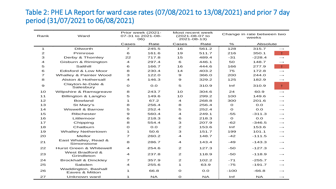#### Table 2: PHE LA Report for ward case rates (07/08/2021 to 13/08/2021) and prior 7 day period (31/07/2021 to 06/08/2021)

| Rank                     | Ward                                  | Prior week (2021-<br>07-31 to 2021-08-<br>06) |           |                | Most recent week<br>(2021-08-07 to<br>$2021 - 08 - 13$ |              | Change in rate between two<br>weeks |                          |
|--------------------------|---------------------------------------|-----------------------------------------------|-----------|----------------|--------------------------------------------------------|--------------|-------------------------------------|--------------------------|
|                          |                                       | Cases                                         | Rate      | Cases          | Rate                                                   | $\%$         | Absolute                            |                          |
| $\mathbf 1$              | <b>Dilworth</b>                       | $\overline{\phantom{a}}$                      | 245.5     | 16             | 561.2                                                  | 128          | 315.7                               | $\longrightarrow$        |
| $\mathbf{z}$             | Primrose                              | 6                                             | 161.6     | 19             | 511.7                                                  | 216          | 350.1                               | $\uparrow$               |
| З                        | Derby & Thornley                      | 22                                            | 717.8     | 15             | 489.4                                                  | $-31$        | $-228.4$                            | $\longrightarrow$        |
| 4                        | Gisburn & Rimington                   | $\overline{a}$                                | 297.4     | 6              | 446.1                                                  | 50           | 148.7                               | $\longrightarrow$        |
| 5                        | Salthill                              | 6                                             | 166.7     | 16             | 444.6                                                  | 166          | 277.9                               | $\uparrow$               |
| 6                        | Edisford & Low Moor                   | 8                                             | 230.4     | 14             | 403.2                                                  | 75           | 172.8                               | $\rightarrow$            |
| $\overline{\phantom{a}}$ | Whalley & Painter Wood                | 3                                             | 122.0     | 9              | 366.0                                                  | 200          | 244.0                               | $\rightarrow$            |
| 8                        | Alston & Hothersall                   | 4                                             | 146.3     | 9              | 329.2                                                  | 125          | 182.9                               | $\longrightarrow$        |
| 9                        | Clayton-le-Dale &<br>Salesbury        | $\mathbf O$                                   | O.O       | 5              | 310.9                                                  | Inf          | 310.9                               | $\uparrow$               |
| 10                       | Wilpshire & Ramsgreave                | 8                                             | 243.7     | 10             | 304.6                                                  | 24           | 60.9                                | $\longrightarrow$        |
| 11                       | Billington & Langho                   | 5                                             | 149.6     | 10             | 299.2                                                  | 100          | 149.6                               | $\rightarrow$            |
| 12                       | <b>Bowland</b>                        | 1                                             | 67.2      | 4              | 268.8                                                  | 300          | 201.6                               | $\longrightarrow$        |
| 13                       | St Mary's                             | 8                                             | 256.4     | 8              | 256.4                                                  | $\mathbf{o}$ | O.O                                 | $\longrightarrow$        |
| 14                       | <b>Wiswell &amp; Barrow</b>           | 5                                             | 252.4     | 5              | 252.4                                                  | $\Omega$     | O.O                                 | $\longrightarrow$        |
| 15                       | <b>Ribchester</b>                     | $\mathbf{9}$                                  | 560.4     | 4              | 249.1                                                  | $-55$        | $-311.3$                            | $\longrightarrow$        |
| 16                       | Littlemoor                            | 6                                             | 218.3     | 6              | 218.3                                                  | $\mathbf O$  | O.O                                 | $\longrightarrow$        |
| 17                       | Chipping                              | 8                                             | 554.4     | З              | 207.9                                                  | $-62$        | $-346.5$                            | $\longrightarrow$        |
| 18                       | Chatburn                              | $\mathbf O$                                   | O.O       | 2              | 153.6                                                  | Inf          | 153.6                               | $\longrightarrow$        |
| 19                       | <b>Whalley Nethertown</b>             | $\mathbf{1}$                                  | 50.6      | З              | 151.7                                                  | 199          | 101.1                               | $\longrightarrow$        |
| 20                       | Mellor                                | $\overline{\phantom{a}}$                      | 260.2     | 4              | 148.7                                                  | $-42$        | $-111.5$                            | $\longrightarrow$        |
| 21                       | East Whalley, Read &<br>Simonstone    | 8                                             | 286.7     | 4              | 143.4                                                  | $-49$        | $-143.3$                            | $\longrightarrow$        |
| 22                       | Hurst Green & Whitewell               | $\overline{4}$                                | 254.6     | 2              | 127.3                                                  | $-50$        | $-127.3$                            | $\longrightarrow$        |
| 23                       | West Bradford &<br>Grindleton         | $\overline{a}$                                | 237.8     | $\overline{2}$ | 118.9                                                  | $-50$        | $-118.9$                            | $\longrightarrow$        |
| 24                       | <b>Brockhall &amp; Dinckley</b>       | $\overline{\phantom{a}}$                      | 357.9     | 2              | 102.2                                                  | $-71$        | $-255.7$                            | $\overline{\phantom{0}}$ |
| 25                       | Sabden                                | 4                                             | 255.6     | 1              | 63.9                                                   | $-75$        | $-191.7$                            | $\longrightarrow$        |
| 26                       | Waddington, Bashall<br>Eaves & Mitton | $\mathbf{1}$                                  | 66.8      | $\mathbf O$    | O.O                                                    | $-100$       | $-66.8$                             | $\longrightarrow$        |
| 27                       | Unknown ward                          | $\mathbf{1}$                                  | <b>NA</b> | $\mathbf O$    | <b>NA</b>                                              | Inf          | <b>NA</b>                           | $\longrightarrow$        |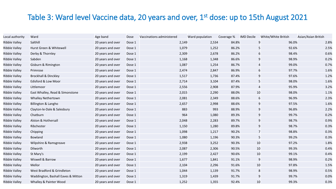## Table 3: Ward level Vaccine data, 20 years and over, 1<sup>st</sup> dose: up to 15th August 2021

| Local authority      | Ward                               | Age band          | Dose   | Vaccinations administered | Ward population | Coverage % | <b>IMD Decile</b> | White/White British | Asian/Asian British |
|----------------------|------------------------------------|-------------------|--------|---------------------------|-----------------|------------|-------------------|---------------------|---------------------|
| <b>Ribble Valley</b> | Salthill                           | 20 years and over | Dose 1 | 2,149                     | 2,534           | 84.8%      |                   | 96.0%               | 2.8%                |
| Ribble Valley        | Hurst Green & Whitewell            | 20 years and over | Dose 1 | 1,079                     | 1,252           | 86.2%      |                   | 92.6%<br>5          | 2.5%                |
| <b>Ribble Valley</b> | Derby & Thornley                   | 20 years and over | Dose 1 | 2,309                     | 2,678           | 86.2%      |                   | 98.4%<br>6          | 0.6%                |
| <b>Ribble Valley</b> | Sabden                             | 20 years and over | Dose 1 | 1,168                     | 1,348           | 86.6%      |                   | 98.9%<br>9          | 0.2%                |
| <b>Ribble Valley</b> | Gisburn & Rimington                | 20 years and over | Dose 1 | 1,087                     | 1,254           | 86.7%      |                   | 99.0%               | 0.7%                |
| <b>Ribble Valley</b> | Primrose                           | 20 years and over | Dose 1 | 2,474                     | 2,847           | 86.9%      |                   | 97.7%               | 1.6%                |
| <b>Ribble Valley</b> | <b>Brockhall &amp; Dinckley</b>    | 20 years and over | Dose 1 | 1,517                     | 1,736           | 87.4%      |                   | 97.6%<br>9          | 1.2%                |
| <b>Ribble Valley</b> | Edisford & Low Moor                | 20 years and over | Dose 1 | 2,714                     | 3,104           | 87.4%      |                   | 98.0%<br>5          | 1.6%                |
| <b>Ribble Valley</b> | Littlemoor                         | 20 years and over | Dose 1 | 2,556                     | 2,908           | 87.9%      |                   | 95.9%<br>4          | 3.2%                |
| <b>Ribble Valley</b> | East Whalley, Read & Simonstone    | 20 years and over | Dose 1 | 2,015                     | 2,290           | 88.0%      |                   | 98.0%<br>10         | 1.1%                |
| <b>Ribble Valley</b> | <b>Whalley Nethertown</b>          | 20 years and over | Dose 1 | 2,081                     | 2,349           | 88.6%      |                   | 96.9%<br>6          | 2.3%                |
| <b>Ribble Valley</b> | Billington & Langho                | 20 years and over | Dose 1 | 2,657                     | 2,998           | 88.6%      |                   | 97.5%<br>9          | 1.6%                |
| <b>Ribble Valley</b> | Clayton-le-Dale & Salesbury        | 20 years and over | Dose 1 | 883                       | 993             | 88.9%      |                   | 96.8%<br>9          | 2.2%                |
| <b>Ribble Valley</b> | Chatburn                           | 20 years and over | Dose 1 | 964                       | 1,080           | 89.3%      |                   | 99.7%<br>9          | 0.2%                |
| <b>Ribble Valley</b> | Alston & Hothersall                | 20 years and over | Dose 1 | 2,048                     | 2,283           | 89.7%      |                   | 98.7%               | 0.9%                |
| <b>Ribble Valley</b> | Ribchester                         | 20 years and over | Dose 1 | 1,150                     | 1,280           | 89.8%      |                   | 98.7%<br>9          | 0.3%                |
| Ribble Valley        | Chipping                           | 20 years and over | Dose 1 | 1,098                     | 1,217           | 90.2%      |                   | 98.8%<br>7          | 0.3%                |
| <b>Ribble Valley</b> | <b>Bowland</b>                     | 20 years and over | Dose 1 | 1,080                     | 1,196           | 90.3%      |                   | 99.2%<br>5          | 0.3%                |
| <b>Ribble Valley</b> | Wilpshire & Ramsgreave             | 20 years and over | Dose 1 | 2,938                     | 3,252           | 90.3%      |                   | 97.2%<br>10         | 1.8%                |
| <b>Ribble Valley</b> | Dilworth                           | 20 years and over | Dose 1 | 2,087                     | 2,306           | 90.5%      |                   | 10<br>99.3%         | 0.4%                |
| <b>Ribble Valley</b> | St Mary's                          | 20 years and over | Dose 1 | 2,199                     | 2,427           | 90.6%      |                   | 10<br>99.1%         | 0.4%                |
| <b>Ribble Valley</b> | Wiswell & Barrow                   | 20 years and over | Dose 1 | 1,677                     | 1,841           | 91.1%      |                   | 98.9%<br>9          | 0.2%                |
| <b>Ribble Valley</b> | Mellor                             | 20 years and over | Dose 1 | 2,104                     | 2,296           | 91.6%      |                   | 97.8%<br>10         | 1.5%                |
| <b>Ribble Valley</b> | West Bradford & Grindleton         | 20 years and over | Dose 1 | 1,044                     | 1,139           | 91.7%      |                   | 98.9%<br>8          | 0.5%                |
| <b>Ribble Valley</b> | Waddington, Bashall Eaves & Mitton | 20 years and over | Dose 1 | 1,319                     | 1,439           | 91.7%      |                   | 99.7%               | 0.0%                |
| <b>Ribble Valley</b> | Whalley & Painter Wood             | 20 years and over | Dose 1 | 1,252                     | 1,355           | 92.4%      |                   | 99.3%<br>10         | 0.3%                |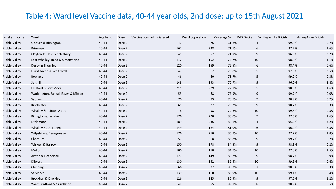# Table 4: Ward level Vaccine data, 40-44 year olds, 2nd dose: up to 15th August 2021

| Local authority      | Ward                               | Age band | Dose   | Vaccinations administered | Ward population |     | Coverage % | <b>IMD Decile</b> | White/White British | Asian/Asian British |
|----------------------|------------------------------------|----------|--------|---------------------------|-----------------|-----|------------|-------------------|---------------------|---------------------|
| <b>Ribble Valley</b> | Gisburn & Rimington                | 40-44    | Dose 2 |                           | 47              | 76  | 61.8%      |                   | 99.0%               | 0.7%                |
| Ribble Valley        | Primrose                           | 40-44    | Dose 2 |                           | 162             | 228 | 71.1%      | 6                 | 97.7%               | 1.6%                |
| <b>Ribble Valley</b> | Clayton-le-Dale & Salesbury        | 40-44    | Dose 2 |                           | 41              | 57  | 71.9%      | 9                 | 96.8%               | 2.2%                |
| <b>Ribble Valley</b> | East Whalley, Read & Simonstone    | 40-44    | Dose 2 |                           | 112             | 152 | 73.7%      | 10                | 98.0%               | 1.1%                |
| <b>Ribble Valley</b> | Derby & Thornley                   | 40-44    | Dose 2 |                           | 120             | 159 | 75.5%      |                   | 98.4%<br>6          | 0.6%                |
| <b>Ribble Valley</b> | Hurst Green & Whitewell            | 40-44    | Dose 2 |                           | 47              | 62  | 75.8%      | 5                 | 92.6%               | 2.5%                |
| Ribble Valley        | Bowland                            | 40-44    | Dose 2 |                           | 46              | 60  | 76.7%      | 5                 | 99.2%               | 0.3%                |
| Ribble Valley        | Salthill                           | 40-44    | Dose 2 |                           | 148             | 193 | 76.7%      | 9                 | 96.0%               | 2.8%                |
| <b>Ribble Valley</b> | Edisford & Low Moor                | 40-44    | Dose 2 |                           | 215             | 279 | 77.1%      | 5                 | 98.0%               | 1.6%                |
| Ribble Valley        | Waddington, Bashall Eaves & Mitton | 40-44    | Dose 2 |                           | 53              | 68  | 77.9%      | 9                 | 99.7%               | 0.0%                |
| Ribble Valley        | Sabden                             | 40-44    | Dose 2 |                           | 70              | 89  | 78.7%      |                   | 9<br>98.9%          | 0.2%                |
| Ribble Valley        | Ribchester                         | 40-44    | Dose 2 |                           | 61              | 77  | 79.2%      | 9                 | 98.7%               | 0.3%                |
| <b>Ribble Valley</b> | Whalley & Painter Wood             | 40-44    | Dose 2 |                           | 78              | 98  | 79.6%      | 10                | 99.3%               | 0.3%                |
| <b>Ribble Valley</b> | Billington & Langho                | 40-44    | Dose 2 |                           | 176             | 220 | 80.0%      | 9                 | 97.5%               | 1.6%                |
| <b>Ribble Valley</b> | Littlemoor                         | 40-44    | Dose 2 |                           | 189             | 236 | 80.1%      | $\overline{4}$    | 95.9%               | 3.2%                |
| <b>Ribble Valley</b> | <b>Whalley Nethertown</b>          | 40-44    | Dose 2 |                           | 149             | 184 | 81.0%      | 6                 | 96.9%               | 2.3%                |
| Ribble Valley        | Wilpshire & Ramsgreave             | 40-44    | Dose 2 |                           | 176             | 210 | 83.8%      | 10                | 97.2%               | 1.8%                |
| Ribble Valley        | Chatburn                           | 40-44    | Dose 2 |                           | 57              | 68  | 83.8%      | 9                 | 99.7%               | 0.2%                |
| <b>Ribble Valley</b> | Wiswell & Barrow                   | 40-44    | Dose 2 |                           | 150             | 178 | 84.3%      | 9                 | 98.9%               | 0.2%                |
| Ribble Valley        | Mellor                             | 40-44    | Dose 2 |                           | 100             | 118 | 84.7%      | 10                | 97.8%               | 1.5%                |
| Ribble Valley        | Alston & Hothersall                | 40-44    | Dose 2 |                           | 127             | 149 | 85.2%      | 9                 | 98.7%               | 0.9%                |
| Ribble Valley        | Dilworth                           | 40-44    | Dose 2 |                           | 130             | 152 | 85.5%      | 10                | 99.3%               | 0.4%                |
| Ribble Valley        | Chipping                           | 40-44    | Dose 2 |                           | 66              | 77  | 85.7%      | 7                 | 98.8%               | 0.3%                |
| <b>Ribble Valley</b> | St Mary's                          | 40-44    | Dose 2 |                           | 139             | 160 | 86.9%      | 10                | 99.1%               | 0.4%                |
| <b>Ribble Valley</b> | <b>Brockhall &amp; Dinckley</b>    | 40-44    | Dose 2 |                           | 126             | 145 | 86.9%      | 9                 | 97.6%               | 1.2%                |
| <b>Ribble Valley</b> | West Bradford & Grindleton         | 40-44    | Dose 2 |                           | 49              | 55  | 89.1%      | 8                 | 98.9%               | 0.5%                |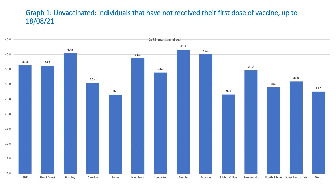#### Graph 1: Unvaccinated: Individuals that have not received their first dose of vaccine, up to 18/08/21

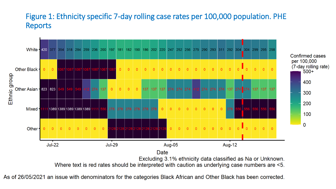# Figure 1: Ethnicity specific 7-day rolling case rates per 100,000 population. PHE Reports



As of 26/05/2021 an issue with denominators for the categories Black African and Other Black has been corrected.